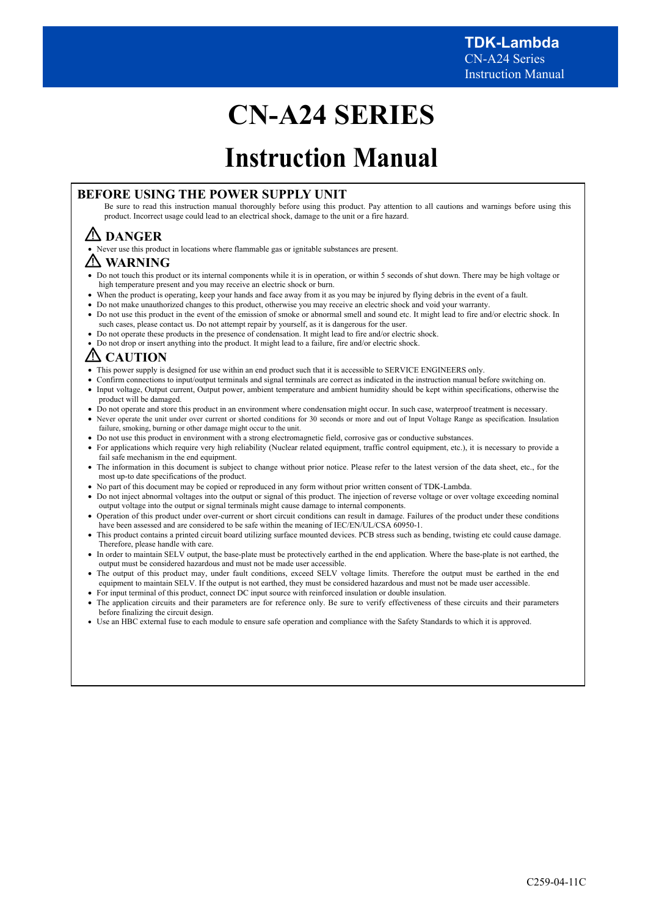# **CN-A24 SERIES**

# **Instruction Manual**

## **BEFORE USING THE POWER SUPPLY UNIT**

Be sure to read this instruction manual thoroughly before using this product. Pay attention to all cautions and warnings before using this product. Incorrect usage could lead to an electrical shock, damage to the unit or a fire hazard.

## **DANGER**

Never use this product in locations where flammable gas or ignitable substances are present.

## **WARNING**

- Do not touch this product or its internal components while it is in operation, or within 5 seconds of shut down. There may be high voltage or high temperature present and you may receive an electric shock or burn.
- When the product is operating, keep your hands and face away from it as you may be injured by flying debris in the event of a fault.
- Do not make unauthorized changes to this product, otherwise you may receive an electric shock and void your warranty.
- Do not use this product in the event of the emission of smoke or abnormal smell and sound etc. It might lead to fire and/or electric shock. In such cases, please contact us. Do not attempt repair by yourself, as it is dangerous for the user.
- Do not operate these products in the presence of condensation. It might lead to fire and/or electric shock.
- Do not drop or insert anything into the product. It might lead to a failure, fire and/or electric shock.

## **CAUTION**

- This power supply is designed for use within an end product such that it is accessible to SERVICE ENGINEERS only.
- Confirm connections to input/output terminals and signal terminals are correct as indicated in the instruction manual before switching on. Input voltage, Output current, Output power, ambient temperature and ambient humidity should be kept within specifications, otherwise the product will be damaged.
- Do not operate and store this product in an environment where condensation might occur. In such case, waterproof treatment is necessary.
- Never operate the unit under over current or shorted conditions for 30 seconds or more and out of Input Voltage Range as specification. Insulation failure, smoking, burning or other damage might occur to the unit.
- Do not use this product in environment with a strong electromagnetic field, corrosive gas or conductive substances.
- For applications which require very high reliability (Nuclear related equipment, traffic control equipment, etc.), it is necessary to provide a fail safe mechanism in the end equipment.
- The information in this document is subject to change without prior notice. Please refer to the latest version of the data sheet, etc., for the most up-to date specifications of the product.
- No part of this document may be copied or reproduced in any form without prior written consent of TDK-Lambda.
- Do not inject abnormal voltages into the output or signal of this product. The injection of reverse voltage or over voltage exceeding nominal output voltage into the output or signal terminals might cause damage to internal components.
- Operation of this product under over-current or short circuit conditions can result in damage. Failures of the product under these conditions have been assessed and are considered to be safe within the meaning of IEC/EN/UL/CSA 60950-1.
- This product contains a printed circuit board utilizing surface mounted devices. PCB stress such as bending, twisting etc could cause damage. Therefore, please handle with care.
- In order to maintain SELV output, the base-plate must be protectively earthed in the end application. Where the base-plate is not earthed, the output must be considered hazardous and must not be made user accessible.
- The output of this product may, under fault conditions, exceed SELV voltage limits. Therefore the output must be earthed in the end equipment to maintain SELV. If the output is not earthed, they must be considered hazardous and must not be made user accessible.
- For input terminal of this product, connect DC input source with reinforced insulation or double insulation.
- The application circuits and their parameters are for reference only. Be sure to verify effectiveness of these circuits and their parameters before finalizing the circuit design.
- Use an HBC external fuse to each module to ensure safe operation and compliance with the Safety Standards to which it is approved.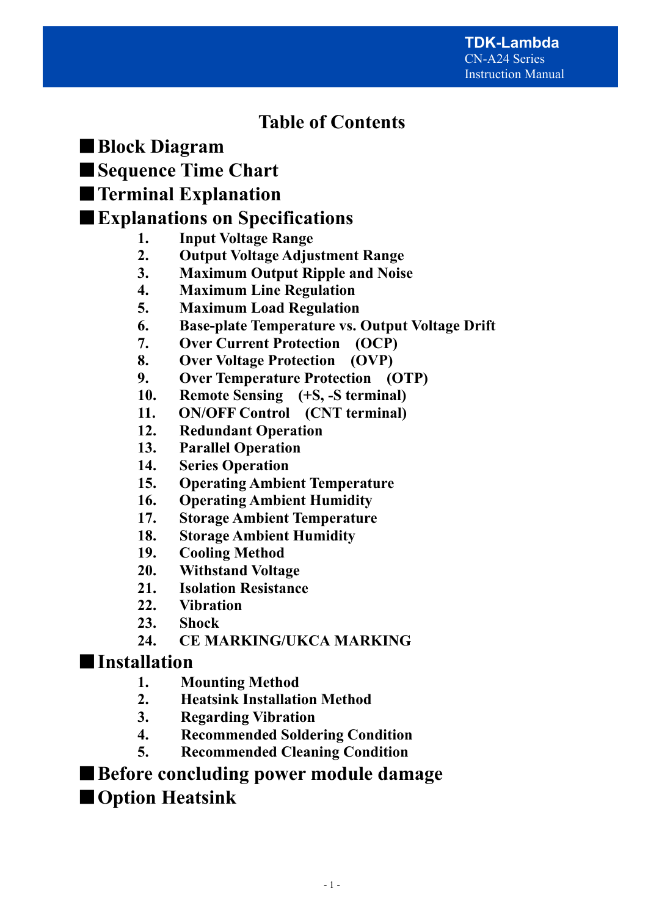## **Table of Contents**

- ■**Block Diagram**
- ■**Sequence Time Chart**
- ■**Terminal Explanation**

## ■**Explanations on Specifications**

- **1. Input Voltage Range**
- **2. Output Voltage Adjustment Range**
- **3. Maximum Output Ripple and Noise**
- **4. Maximum Line Regulation**
- **5. Maximum Load Regulation**
- **6. Base-plate Temperature vs. Output Voltage Drift**
- **7. Over Current Protection (OCP)**
- **8. Over Voltage Protection (OVP)**
- **9. Over Temperature Protection (OTP)**
- **10. Remote Sensing (+S, -S terminal)**
- **11. ON/OFF Control (CNT terminal)**
- **12. Redundant Operation**
- **13. Parallel Operation**
- **14. Series Operation**
- **15. Operating Ambient Temperature**
- **16. Operating Ambient Humidity**
- **17. Storage Ambient Temperature**
- **18. Storage Ambient Humidity**
- **19. Cooling Method**
- **20. Withstand Voltage**
- **21. Isolation Resistance**
- **22. Vibration**
- **23. Shock**
- **24. CE MARKING/UKCA MARKING**

## ■**Installation**

- **1. Mounting Method**
- **2. Heatsink Installation Method**
- **3. Regarding Vibration**
- **4. Recommended Soldering Condition**
- **5. Recommended Cleaning Condition**

## ■ Before concluding power module damage

■**Option Heatsink**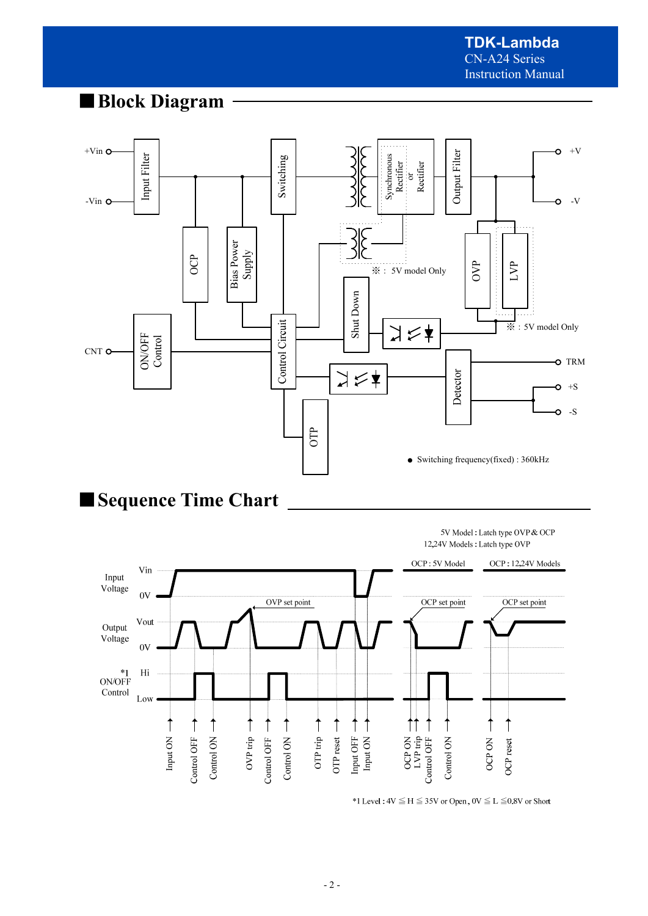## ■**Block Diagram**





\*1 Level:  $4V \le H \le 35V$  or Open,  $0V \le L \le 0.8V$  or Short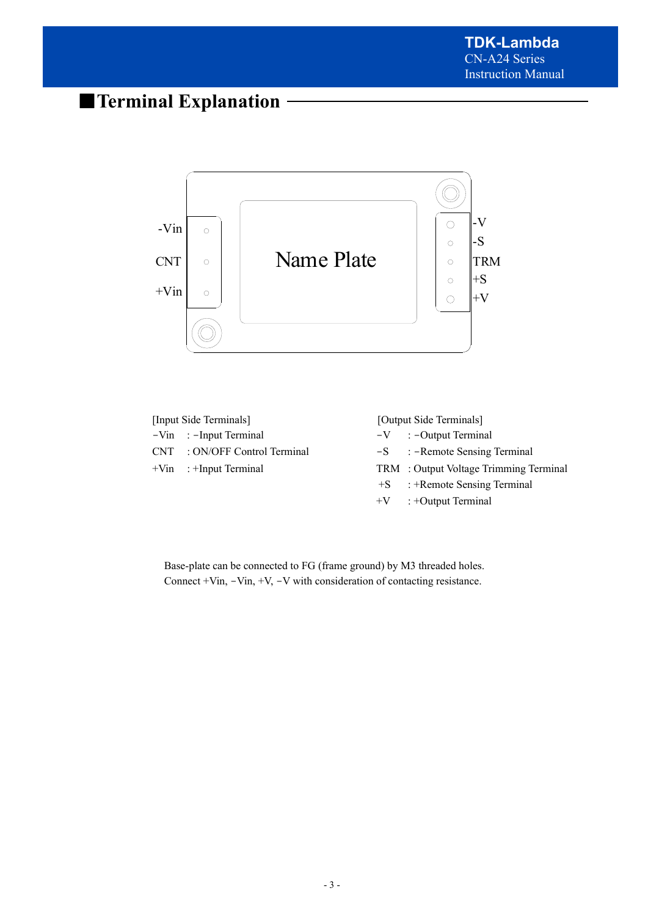## ■**Terminal Explanation**





Base-plate can be connected to FG (frame ground) by M3 threaded holes. Connect +Vin, -Vin, +V, -V with consideration of contacting resistance.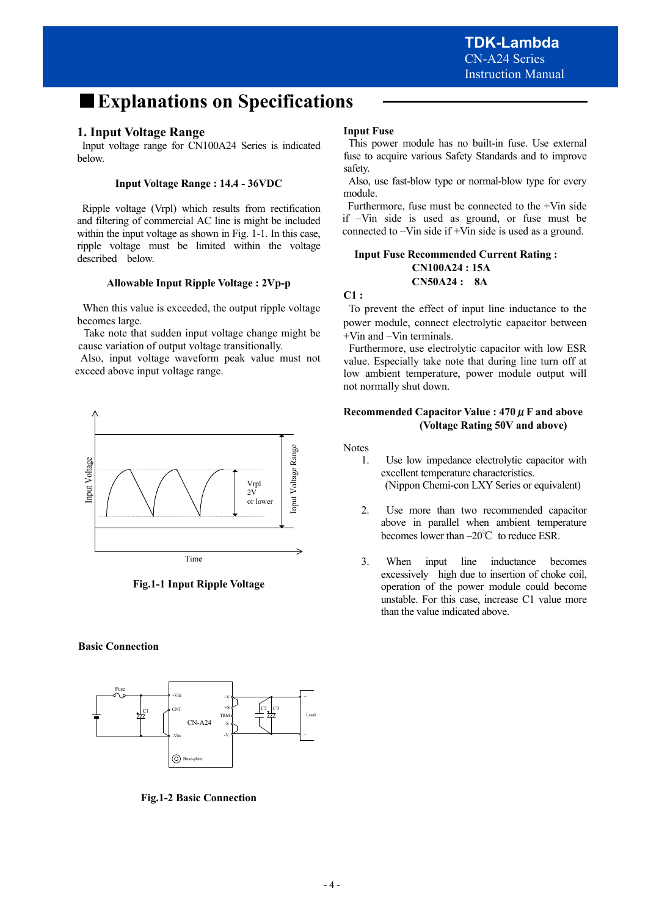## ■**Explanations on Specifications**

### **1. Input Voltage Range**

 Input voltage range for CN100A24 Series is indicated below.

#### **Input Voltage Range : 14.4 - 36VDC**

 Ripple voltage (Vrpl) which results from rectification and filtering of commercial AC line is might be included within the input voltage as shown in Fig. 1-1. In this case, ripple voltage must be limited within the voltage described below.

#### **Allowable Input Ripple Voltage : 2Vp-p**

 When this value is exceeded, the output ripple voltage becomes large.

 Take note that sudden input voltage change might be cause variation of output voltage transitionally.

 Also, input voltage waveform peak value must not exceed above input voltage range.



**Fig.1-1 Input Ripple Voltage** 

#### **Basic Connection**



**Fig.1-2 Basic Connection** 

#### **Input Fuse**

 This power module has no built-in fuse. Use external fuse to acquire various Safety Standards and to improve safety.

 Also, use fast-blow type or normal-blow type for every module.

 Furthermore, fuse must be connected to the +Vin side if –Vin side is used as ground, or fuse must be connected to –Vin side if +Vin side is used as a ground.

#### **Input Fuse Recommended Current Rating : CN100A24 : 15A CN50A24 : 8A**

#### **C1 :**

 To prevent the effect of input line inductance to the power module, connect electrolytic capacitor between +Vin and –Vin terminals.

 Furthermore, use electrolytic capacitor with low ESR value. Especially take note that during line turn off at low ambient temperature, power module output will not normally shut down.

#### **Recommended Capacitor Value : 470**μ**F and above (Voltage Rating 50V and above)**

Notes

- 1. Use low impedance electrolytic capacitor with excellent temperature characteristics. (Nippon Chemi-con LXY Series or equivalent)
- 2. Use more than two recommended capacitor above in parallel when ambient temperature becomes lower than –20℃ to reduce ESR.
- 3. When input line inductance becomes excessively high due to insertion of choke coil, operation of the power module could become unstable. For this case, increase C1 value more than the value indicated above.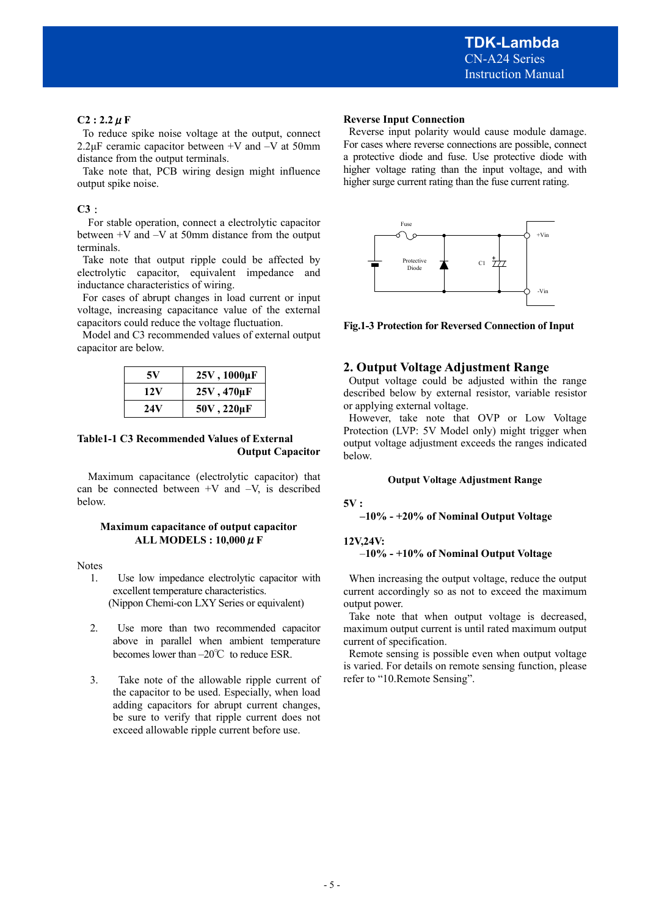#### $C2: 2.2 \mu F$

To reduce spike noise voltage at the output, connect 2.2μF ceramic capacitor between  $+V$  and  $-V$  at 50mm distance from the output terminals.

 Take note that, PCB wiring design might influence output spike noise.

#### **C3**:

For stable operation, connect a electrolytic capacitor between +V and –V at 50mm distance from the output terminals.

Take note that output ripple could be affected by electrolytic capacitor, equivalent impedance and inductance characteristics of wiring.

 For cases of abrupt changes in load current or input voltage, increasing capacitance value of the external capacitors could reduce the voltage fluctuation.

 Model and C3 recommended values of external output capacitor are below.

| 5V  | 25V, 1000µF    |
|-----|----------------|
| 12V | $25V,470\mu F$ |
| 24V | $50V,220\mu F$ |

#### **Table1-1 C3 Recommended Values of External Output Capacitor**

Maximum capacitance (electrolytic capacitor) that can be connected between  $+V$  and  $-V$ , is described below.

#### **Maximum capacitance of output capacitor ALL MODELS : 10,000**μ**F**

Notes

- 1. Use low impedance electrolytic capacitor with excellent temperature characteristics. (Nippon Chemi-con LXY Series or equivalent)
- 2. Use more than two recommended capacitor above in parallel when ambient temperature becomes lower than –20℃ to reduce ESR.
- 3. Take note of the allowable ripple current of the capacitor to be used. Especially, when load adding capacitors for abrupt current changes, be sure to verify that ripple current does not exceed allowable ripple current before use.

#### **Reverse Input Connection**

 Reverse input polarity would cause module damage. For cases where reverse connections are possible, connect a protective diode and fuse. Use protective diode with higher voltage rating than the input voltage, and with higher surge current rating than the fuse current rating.



**Fig.1-3 Protection for Reversed Connection of Input** 

### **2. Output Voltage Adjustment Range**

 Output voltage could be adjusted within the range described below by external resistor, variable resistor or applying external voltage.

 However, take note that OVP or Low Voltage Protection (LVP: 5V Model only) might trigger when output voltage adjustment exceeds the ranges indicated below.

#### **Output Voltage Adjustment Range**

**5V :** 

 **–10% - +20% of Nominal Output Voltage** 

#### **12V,24V:**

#### –**10% - +10% of Nominal Output Voltage**

 When increasing the output voltage, reduce the output current accordingly so as not to exceed the maximum output power.

 Take note that when output voltage is decreased, maximum output current is until rated maximum output current of specification.

 Remote sensing is possible even when output voltage is varied. For details on remote sensing function, please refer to "10.Remote Sensing".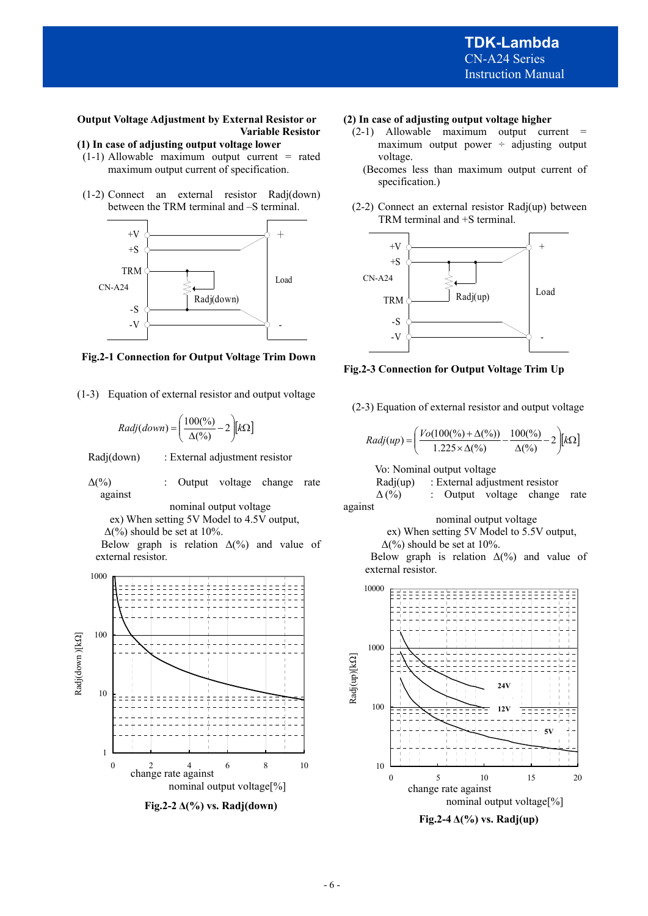### **Output Voltage Adjustment by External Resistor or Variable Resistor**

## **(1) In case of adjusting output voltage lower**

- $(1-1)$  Allowable maximum output current = rated maximum output current of specification.
- (1-2) Connect an external resistor Radj(down) between the TRM terminal and –S terminal.



**Fig.2-1 Connection for Output Voltage Trim Down** 

(1-3) Equation of external resistor and output voltage

$$
Radj(down) = \left(\frac{100\binom{0}{6}}{\Delta\binom{0}{6}} - 2\right)[k\Omega]
$$

Radj(down) : External adjustment resistor

 $\Delta$ (%) : Output voltage change rate against

nominal output voltage

ex) When setting 5V Model to 4.5V output,

 $\Delta$ (%) should be set at 10%.

Below graph is relation  $\Delta(\%)$  and value of external resistor.



**Fig.2-2 Δ(%) vs. Radj(down)** 

#### **(2) In case of adjusting output voltage higher**

- $(2-1)$  Allowable maximum output current = maximum output power  $\div$  adjusting output voltage.
	- (Becomes less than maximum output current of specification.)
- (2-2) Connect an external resistor Radj(up) between TRM terminal and +S terminal.



**Fig.2-3 Connection for Output Voltage Trim Up**

(2-3) Equation of external resistor and output voltage

$$
Radj(up) = \left(\frac{Vo(100(\%) + \Delta(\%))}{1.225 \times \Delta(\%)} - \frac{100(\%)}{\Delta(\%)} - 2\right)[k\Omega]
$$

Vo: Nominal output voltage

Radj(up) : External adjustment resistor

 $\Delta$ (%) : Output voltage change rate against

nominal output voltage

ex) When setting 5V Model to 5.5V output,

 $\Delta$ (%) should be set at 10%.

Below graph is relation  $\Delta(\%)$  and value of external resistor.



**Fig.2-4 Δ(%) vs. Radj(up)**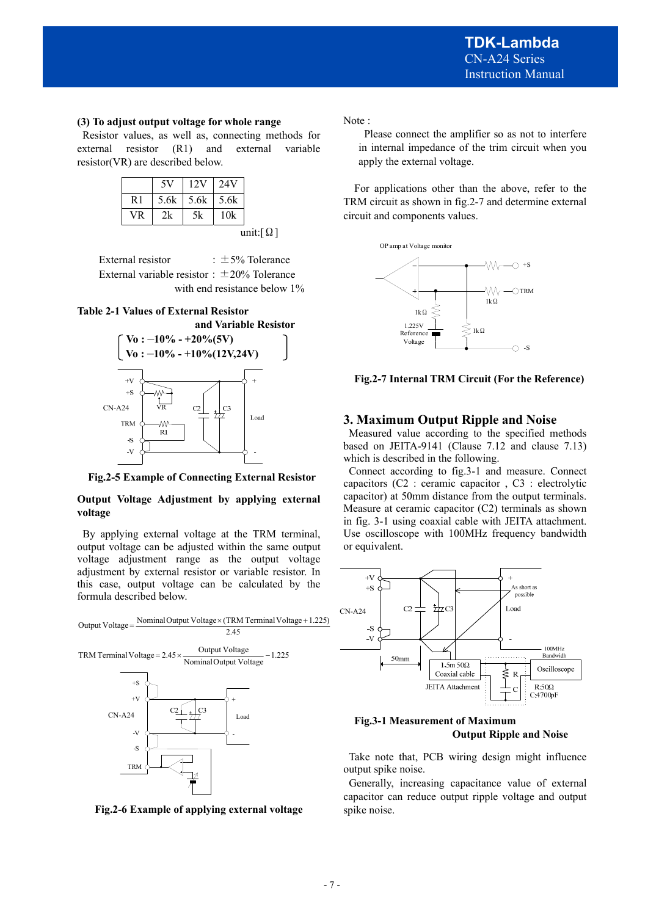#### **(3) To adjust output voltage for whole range**

Resistor values, as well as, connecting methods for external resistor (R1) and external variable resistor(VR) are described below.

| $5.6k$   $5.6k$   $5.6k$<br>R <sub>1</sub> |    |     |  |
|--------------------------------------------|----|-----|--|
|                                            |    |     |  |
| <b>VR</b><br>2k                            | 5k | 10k |  |

External resistor  $\qquad \qquad : \pm 5\%$  Tolerance External variable resistor:  $\pm 20\%$  Tolerance with end resistance below 1%

#### **Table 2-1 Values of External Resistor**



**Fig.2-5 Example of Connecting External Resistor** 

#### **Output Voltage Adjustment by applying external voltage**

By applying external voltage at the TRM terminal, output voltage can be adjusted within the same output voltage adjustment range as the output voltage adjustment by external resistor or variable resistor. In this case, output voltage can be calculated by the formula described below.



**Fig.2-6 Example of applying external voltage** 

Note :

 Please connect the amplifier so as not to interfere in internal impedance of the trim circuit when you apply the external voltage.

 For applications other than the above, refer to the TRM circuit as shown in fig.2-7 and determine external circuit and components values.



**Fig.2-7 Internal TRM Circuit (For the Reference)**

## **3. Maximum Output Ripple and Noise**

 Measured value according to the specified methods based on JEITA-9141 (Clause 7.12 and clause 7.13) which is described in the following.

 Connect according to fig.3-1 and measure. Connect capacitors (C2 : ceramic capacitor , C3 : electrolytic capacitor) at 50mm distance from the output terminals. Measure at ceramic capacitor (C2) terminals as shown in fig. 3-1 using coaxial cable with JEITA attachment. Use oscilloscope with 100MHz frequency bandwidth or equivalent.



**Fig.3-1 Measurement of Maximum Output Ripple and Noise** 

 Take note that, PCB wiring design might influence output spike noise.

 Generally, increasing capacitance value of external capacitor can reduce output ripple voltage and output spike noise.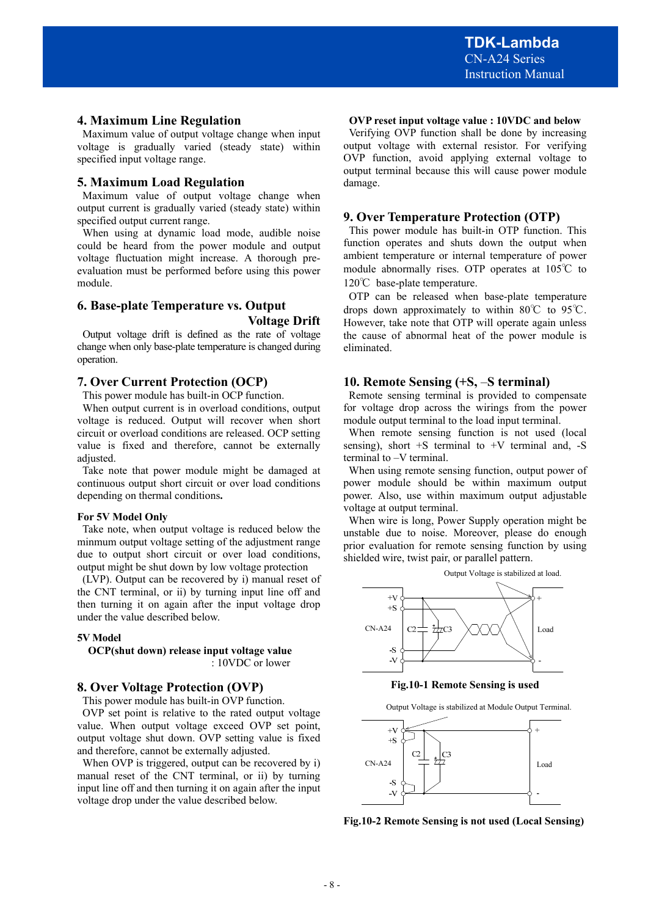#### **4. Maximum Line Regulation**

 Maximum value of output voltage change when input voltage is gradually varied (steady state) within specified input voltage range.

#### **5. Maximum Load Regulation**

 Maximum value of output voltage change when output current is gradually varied (steady state) within specified output current range.

 When using at dynamic load mode, audible noise could be heard from the power module and output voltage fluctuation might increase. A thorough preevaluation must be performed before using this power module.

## **6. Base-plate Temperature vs. Output Voltage Drift**

 Output voltage drift is defined as the rate of voltage change when only base-plate temperature is changed during operation.

#### **7. Over Current Protection (OCP)**

This power module has built-in OCP function.

When output current is in overload conditions, output voltage is reduced. Output will recover when short circuit or overload conditions are released. OCP setting value is fixed and therefore, cannot be externally adjusted.

Take note that power module might be damaged at continuous output short circuit or over load conditions depending on thermal conditions**.** 

#### **For 5V Model Only**

Take note, when output voltage is reduced below the minmum output voltage setting of the adjustment range due to output short circuit or over load conditions, output might be shut down by low voltage protection

(LVP). Output can be recovered by i) manual reset of the CNT terminal, or ii) by turning input line off and then turning it on again after the input voltage drop under the value described below.

#### **5V Model**

**OCP(shut down) release input voltage value**  : 10VDC or lower

## **8. Over Voltage Protection (OVP)**

This power module has built-in OVP function.

OVP set point is relative to the rated output voltage value. When output voltage exceed OVP set point, output voltage shut down. OVP setting value is fixed and therefore, cannot be externally adjusted.

When OVP is triggered, output can be recovered by i) manual reset of the CNT terminal, or ii) by turning input line off and then turning it on again after the input voltage drop under the value described below.

#### **OVP reset input voltage value : 10VDC and below**

 Verifying OVP function shall be done by increasing output voltage with external resistor. For verifying OVP function, avoid applying external voltage to output terminal because this will cause power module damage.

#### **9. Over Temperature Protection (OTP)**

 This power module has built-in OTP function. This function operates and shuts down the output when ambient temperature or internal temperature of power module abnormally rises. OTP operates at 105℃ to 120℃ base-plate temperature.

 OTP can be released when base-plate temperature drops down approximately to within 80℃ to 95℃. However, take note that OTP will operate again unless the cause of abnormal heat of the power module is eliminated.

#### **10. Remote Sensing (+S,** –**S terminal)**

Remote sensing terminal is provided to compensate for voltage drop across the wirings from the power module output terminal to the load input terminal.

When remote sensing function is not used (local sensing), short  $+S$  terminal to  $+V$  terminal and,  $-S$ terminal to –V terminal.

When using remote sensing function, output power of power module should be within maximum output power. Also, use within maximum output adjustable voltage at output terminal.

When wire is long, Power Supply operation might be unstable due to noise. Moreover, please do enough prior evaluation for remote sensing function by using shielded wire, twist pair, or parallel pattern.



**Fig.10-1 Remote Sensing is used** 

Output Voltage is stabilized at Module Output Terminal.



**Fig.10-2 Remote Sensing is not used (Local Sensing)**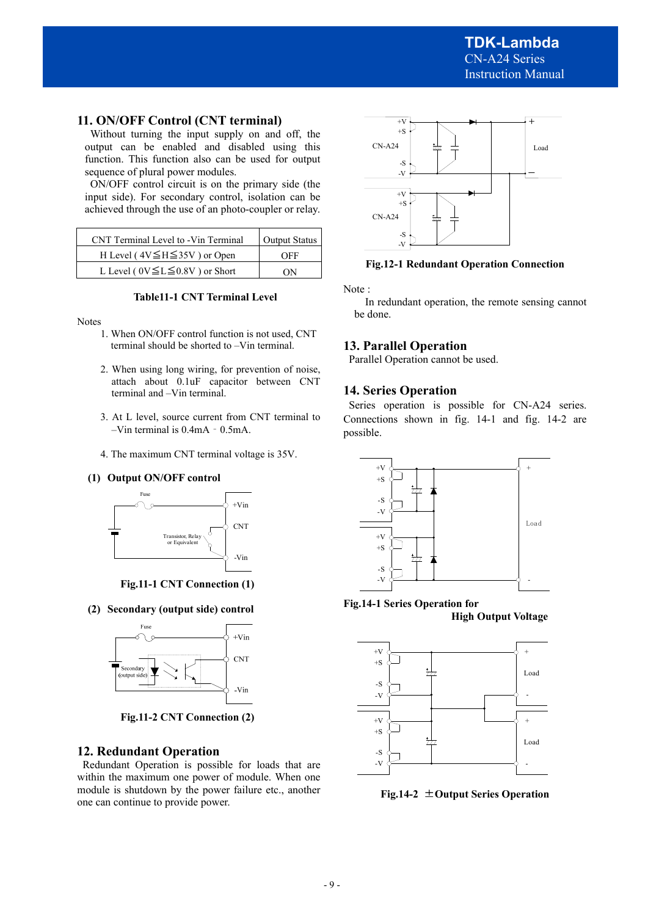## **11. ON/OFF Control (CNT terminal)**

 Without turning the input supply on and off, the output can be enabled and disabled using this function. This function also can be used for output sequence of plural power modules.

 ON/OFF control circuit is on the primary side (the input side). For secondary control, isolation can be achieved through the use of an photo-coupler or relay.

| CNT Terminal Level to -Vin Terminal      | Output Status |  |
|------------------------------------------|---------------|--|
| H Level ( $4V \leq H \leq 35V$ ) or Open | OEE           |  |
| L Level ( $0V \le L \le 0.8V$ ) or Short | ΩN            |  |



Notes

- 1. When ON/OFF control function is not used, CNT terminal should be shorted to –Vin terminal.
- 2. When using long wiring, for prevention of noise, attach about 0.1uF capacitor between CNT terminal and –Vin terminal.
- 3. At L level, source current from CNT terminal to –Vin terminal is 0.4mA‐0.5mA.
- 4. The maximum CNT terminal voltage is 35V.

#### **(1) Output ON/OFF control**



**Fig.11-1 CNT Connection (1)**

**(2) Secondary (output side) control** 



**Fig.11-2 CNT Connection (2)** 

## **12. Redundant Operation**

 Redundant Operation is possible for loads that are within the maximum one power of module. When one module is shutdown by the power failure etc., another one can continue to provide power.



#### **Fig.12-1 Redundant Operation Connection**

Note :

## **13. Parallel Operation**

Parallel Operation cannot be used.

### **14. Series Operation**

 Series operation is possible for CN-A24 series. Connections shown in fig. 14-1 and fig. 14-2 are possible.



**Fig.14-1 Series Operation for High Output Voltage** 



**Fig.14-2** ±**Output Series Operation** 

In redundant operation, the remote sensing cannot be done.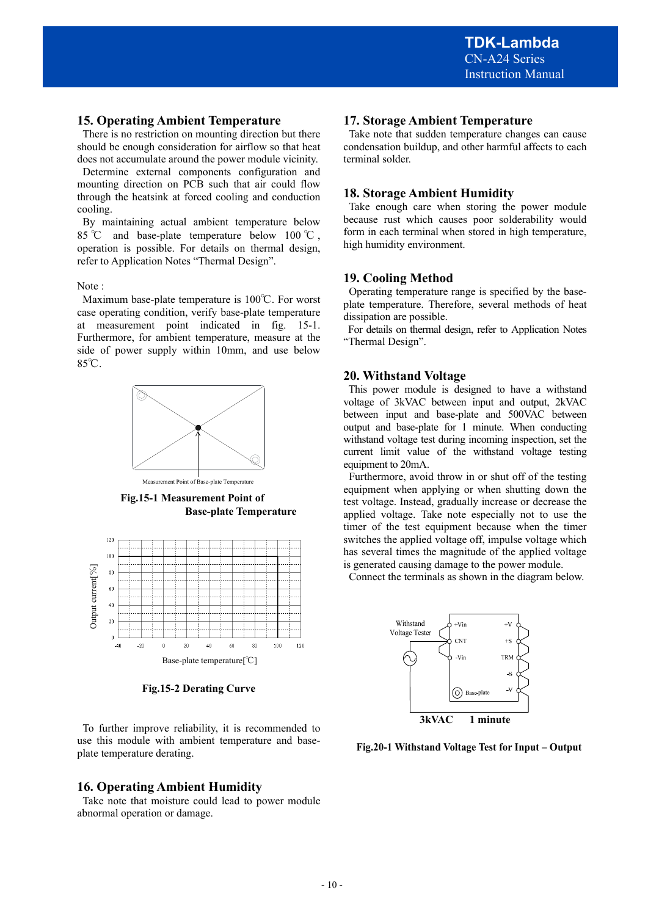## **15. Operating Ambient Temperature**

 There is no restriction on mounting direction but there should be enough consideration for airflow so that heat does not accumulate around the power module vicinity.

 Determine external components configuration and mounting direction on PCB such that air could flow through the heatsink at forced cooling and conduction cooling.

 By maintaining actual ambient temperature below 85 °C and base-plate temperature below 100 °C, operation is possible. For details on thermal design, refer to Application Notes "Thermal Design".

#### Note :

Maximum base-plate temperature is 100℃. For worst case operating condition, verify base-plate temperature at measurement point indicated in fig. 15-1. Furthermore, for ambient temperature, measure at the side of power supply within 10mm, and use below 85℃.



nent Point of Base-plate Temperature

**Fig.15-1 Measurement Point of Base-plate Temperature** 



**Fig.15-2 Derating Curve** 

 To further improve reliability, it is recommended to use this module with ambient temperature and baseplate temperature derating.

## **16. Operating Ambient Humidity**

 Take note that moisture could lead to power module abnormal operation or damage.

## **17. Storage Ambient Temperature**

 Take note that sudden temperature changes can cause condensation buildup, and other harmful affects to each terminal solder.

### **18. Storage Ambient Humidity**

 Take enough care when storing the power module because rust which causes poor solderability would form in each terminal when stored in high temperature, high humidity environment.

## **19. Cooling Method**

 Operating temperature range is specified by the baseplate temperature. Therefore, several methods of heat dissipation are possible.

 For details on thermal design, refer to Application Notes "Thermal Design".

## **20. Withstand Voltage**

 This power module is designed to have a withstand voltage of 3kVAC between input and output, 2kVAC between input and base-plate and 500VAC between output and base-plate for 1 minute. When conducting withstand voltage test during incoming inspection, set the current limit value of the withstand voltage testing equipment to 20mA.

 Furthermore, avoid throw in or shut off of the testing equipment when applying or when shutting down the test voltage. Instead, gradually increase or decrease the applied voltage. Take note especially not to use the timer of the test equipment because when the timer switches the applied voltage off, impulse voltage which has several times the magnitude of the applied voltage is generated causing damage to the power module.

Connect the terminals as shown in the diagram below.



**Fig.20-1 Withstand Voltage Test for Input – Output**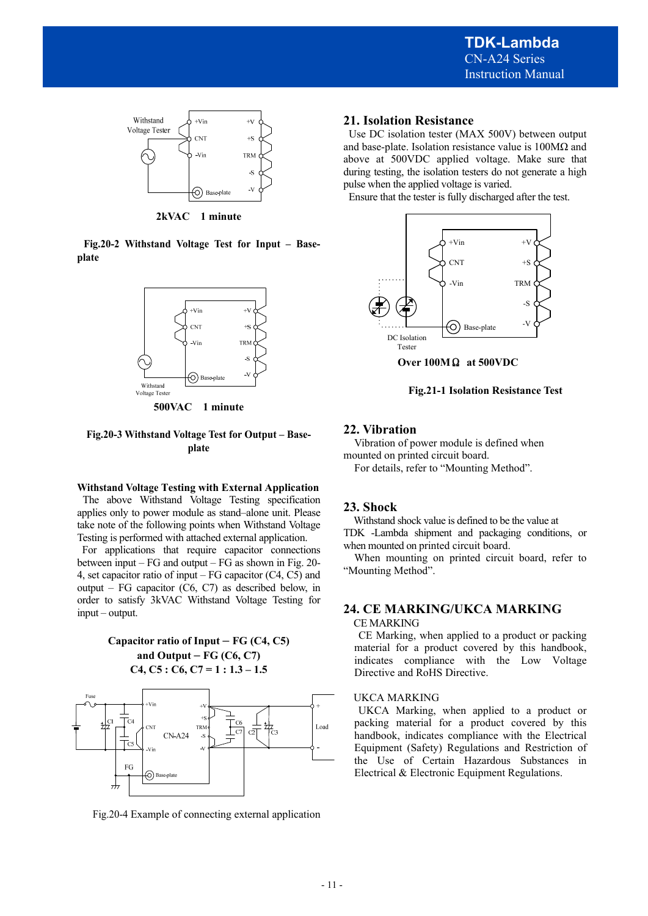

**2kVAC 1 minute** 

**Fig.20-2 Withstand Voltage Test for Input – Baseplate** 



**500VAC 1 minute** 

#### **Fig.20-3 Withstand Voltage Test for Output – Baseplate**

#### **Withstand Voltage Testing with External Application**

 The above Withstand Voltage Testing specification applies only to power module as stand–alone unit. Please take note of the following points when Withstand Voltage Testing is performed with attached external application.

 For applications that require capacitor connections between input – FG and output – FG as shown in Fig. 20- 4, set capacitor ratio of input – FG capacitor (C4, C5) and output – FG capacitor (C6, C7) as described below, in order to satisfy 3kVAC Withstand Voltage Testing for input – output.

> **Capacitor ratio of Input – FG (C4, C5) and Output – FG (C6, C7) C4, C5 : C6, C7 = 1 : 1.3 – 1.5**



Fig.20-4 Example of connecting external application

## **21. Isolation Resistance**

Use DC isolation tester (MAX 500V) between output and base-plate. Isolation resistance value is  $100M\Omega$  and above at 500VDC applied voltage. Make sure that during testing, the isolation testers do not generate a high pulse when the applied voltage is varied.

Ensure that the tester is fully discharged after the test.



**Over 100M**Ω **at 500VDC** 

**Fig.21-1 Isolation Resistance Test** 

## **22. Vibration**

 Vibration of power module is defined when mounted on printed circuit board.

For details, refer to "Mounting Method".

## **23. Shock**

 Withstand shock value is defined to be the value at TDK -Lambda shipment and packaging conditions, or when mounted on printed circuit board.

When mounting on printed circuit board, refer to "Mounting Method".

## **24. CE MARKING/UKCA MARKING**

#### CE MARKING

 CE Marking, when applied to a product or packing material for a product covered by this handbook, indicates compliance with the Low Voltage Directive and RoHS Directive.

#### UKCA MARKING

 UKCA Marking, when applied to a product or packing material for a product covered by this handbook, indicates compliance with the Electrical Equipment (Safety) Regulations and Restriction of the Use of Certain Hazardous Substances in Electrical & Electronic Equipment Regulations.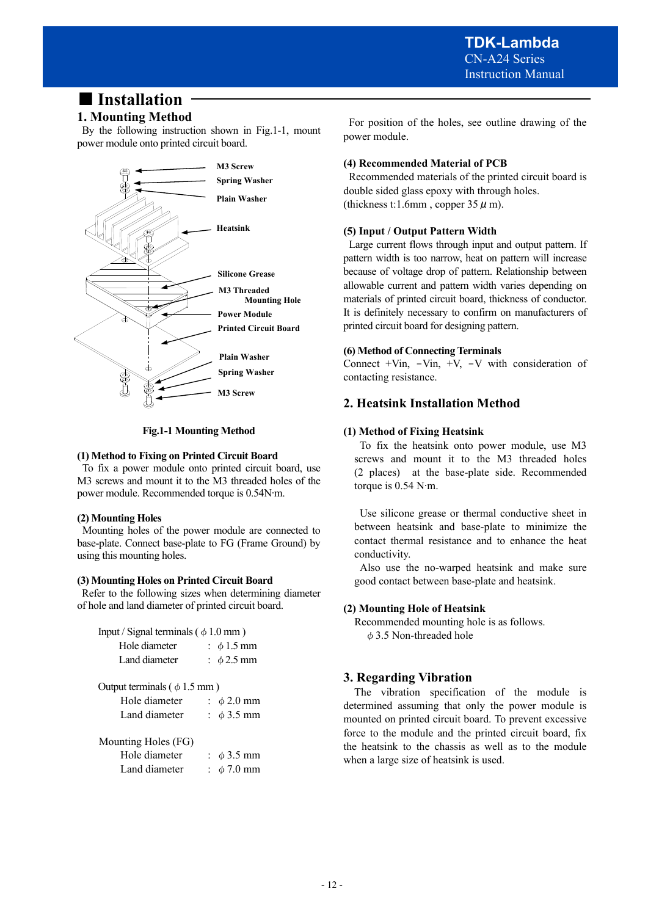## ■ **Installation**

## **1. Mounting Method**

 By the following instruction shown in Fig.1-1, mount power module onto printed circuit board.



**Fig.1-1 Mounting Method** 

### **(1) Method to Fixing on Printed Circuit Board**

To fix a power module onto printed circuit board, use M3 screws and mount it to the M3 threaded holes of the power module. Recommended torque is 0.54N∙m.

## **(2) Mounting Holes**

Mounting holes of the power module are connected to base-plate. Connect base-plate to FG (Frame Ground) by using this mounting holes.

## **(3) Mounting Holes on Printed Circuit Board**

 Refer to the following sizes when determining diameter of hole and land diameter of printed circuit board.

Input / Signal terminals ( $\phi$  1.0 mm)

| Hole diameter                     | : $\phi$ 1.5 mm            |
|-----------------------------------|----------------------------|
| Land diameter                     | : $\phi$ 2.5 mm            |
|                                   |                            |
| Output terminals ( $\phi$ 1.5 mm) |                            |
| Hole diameter                     | $\div$ $\phi$ 2.0 mm       |
| Land diameter                     | : $\phi$ 3.5 mm            |
| Mounting Holes (FG)               |                            |
|                                   |                            |
| Hole diameter                     | $\therefore$ $\phi$ 3.5 mm |
| Land diameter                     | $\pm \phi$ 7.0 mm          |

 For position of the holes, see outline drawing of the power module.

## **(4) Recommended Material of PCB**

 Recommended materials of the printed circuit board is double sided glass epoxy with through holes. (thickness t:1.6mm, copper  $35 \mu$  m).

## **(5) Input / Output Pattern Width**

 Large current flows through input and output pattern. If pattern width is too narrow, heat on pattern will increase because of voltage drop of pattern. Relationship between allowable current and pattern width varies depending on materials of printed circuit board, thickness of conductor. It is definitely necessary to confirm on manufacturers of printed circuit board for designing pattern.

## **(6) Method of Connecting Terminals**

Connect  $+V$ in,  $-V$ in,  $+V$ ,  $-V$  with consideration of contacting resistance.

## **2. Heatsink Installation Method**

## **(1) Method of Fixing Heatsink**

 To fix the heatsink onto power module, use M3 screws and mount it to the M3 threaded holes (2 places) at the base-plate side. Recommended torque is 0.54 N∙m.

 Use silicone grease or thermal conductive sheet in between heatsink and base-plate to minimize the contact thermal resistance and to enhance the heat conductivity.

 Also use the no-warped heatsink and make sure good contact between base-plate and heatsink.

## **(2) Mounting Hole of Heatsink**

 Recommended mounting hole is as follows. φ3.5 Non-threaded hole

## **3. Regarding Vibration**

 The vibration specification of the module is determined assuming that only the power module is mounted on printed circuit board. To prevent excessive force to the module and the printed circuit board, fix the heatsink to the chassis as well as to the module when a large size of heatsink is used.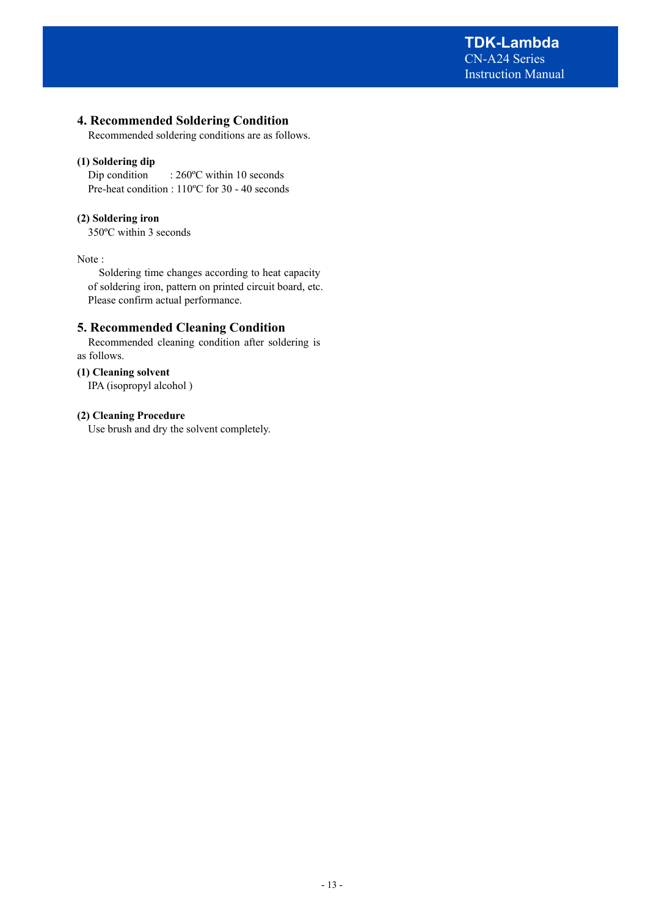## **4. Recommended Soldering Condition**

Recommended soldering conditions are as follows.

### **(1) Soldering dip**

Dip condition : 260°C within 10 seconds Pre-heat condition : 110ºC for 30 - 40 seconds

## **(2) Soldering iron**

350ºC within 3 seconds

Note :

Soldering time changes according to heat capacity of soldering iron, pattern on printed circuit board, etc. Please confirm actual performance.

## **5. Recommended Cleaning Condition**

 Recommended cleaning condition after soldering is as follows.

#### **(1) Cleaning solvent**

IPA (isopropyl alcohol )

#### **(2) Cleaning Procedure**

Use brush and dry the solvent completely.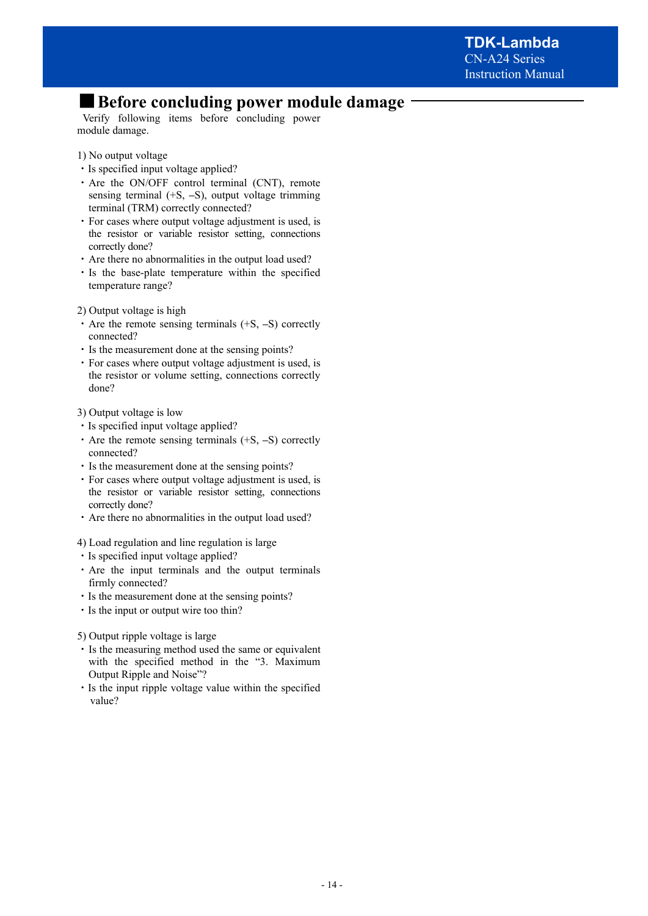## ■ **Before concluding power module damage**

Verify following items before concluding power module damage.

- 1) No output voltage
- ・Is specified input voltage applied?
- ・Are the ON/OFF control terminal (CNT), remote sensing terminal (+S, **–**S), output voltage trimming terminal (TRM) correctly connected?
- ・For cases where output voltage adjustment is used, is the resistor or variable resistor setting, connections correctly done?
- ・Are there no abnormalities in the output load used?
- ・Is the base-plate temperature within the specified temperature range?
- 2) Output voltage is high
- ・Are the remote sensing terminals (+S, **–**S) correctly connected?
- ・Is the measurement done at the sensing points?
- ・For cases where output voltage adjustment is used, is the resistor or volume setting, connections correctly done?
- 3) Output voltage is low
- ・Is specified input voltage applied?
- ・Are the remote sensing terminals (+S, **–**S) correctly connected?
- ・Is the measurement done at the sensing points?
- ・For cases where output voltage adjustment is used, is the resistor or variable resistor setting, connections correctly done?
- ・Are there no abnormalities in the output load used?
- 4) Load regulation and line regulation is large
- ・Is specified input voltage applied?
- ・Are the input terminals and the output terminals firmly connected?
- ・Is the measurement done at the sensing points?
- ・Is the input or output wire too thin?

5) Output ripple voltage is large

- ・Is the measuring method used the same or equivalent with the specified method in the "3. Maximum Output Ripple and Noise"?
- ・Is the input ripple voltage value within the specified value?